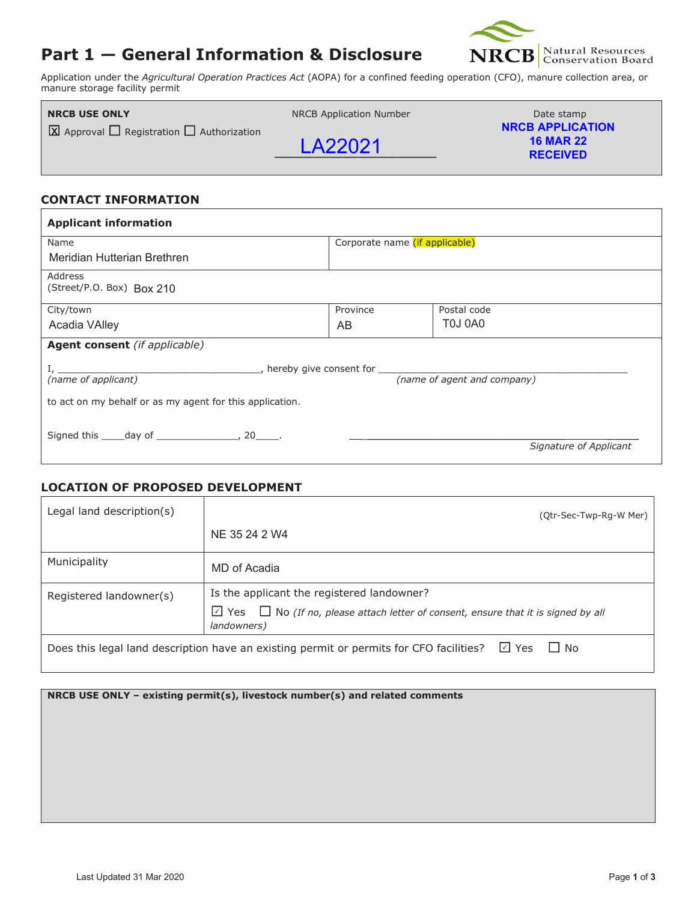# **Part 1 — General Information & Disclosure**



Application under the *Agricultural Operation Practices Act* (AOPA) for a confined feeding operation (CFO), manure collection area, or manure storage facility permit

| <b>NRCB USE ONLY</b>                                     | NRCB Application Number | Date stamp                                                     |
|----------------------------------------------------------|-------------------------|----------------------------------------------------------------|
| $\Box$ Approval $\Box$ Registration $\Box$ Authorization | LA22021                 | <b>NRCB APPLICATION</b><br><b>16 MAR 22</b><br><b>RECEIVED</b> |

### **CONTACT INFORMATION**

| <b>Applicant information</b>                             |                                |                        |  |  |  |
|----------------------------------------------------------|--------------------------------|------------------------|--|--|--|
| Name                                                     | Corporate name (if applicable) |                        |  |  |  |
| Meridian Hutterian Brethren                              |                                |                        |  |  |  |
| Address<br>(Street/P.O. Box) Box 210                     |                                |                        |  |  |  |
| City/town                                                | Province                       | Postal code            |  |  |  |
| Acadia VAlley                                            | AB                             | T0J0A0                 |  |  |  |
| <b>Agent consent</b> (if applicable)                     |                                |                        |  |  |  |
| ______, hereby give consent for ______________           |                                |                        |  |  |  |
| (name of applicant)                                      | (name of agent and company)    |                        |  |  |  |
| to act on my behalf or as my agent for this application. |                                |                        |  |  |  |
| Signed this _____ day of _________________, 20_____.     |                                |                        |  |  |  |
|                                                          |                                | Signature of Applicant |  |  |  |

## **LOCATION OF PROPOSED DEVELOPMENT**

| Legal land description(s)                                                                                     | (Qtr-Sec-Twp-Rg-W Mer)                                                                                       |  |  |
|---------------------------------------------------------------------------------------------------------------|--------------------------------------------------------------------------------------------------------------|--|--|
|                                                                                                               | NE 35 24 2 W4                                                                                                |  |  |
| Municipality                                                                                                  | MD of Acadia                                                                                                 |  |  |
| Registered landowner(s)                                                                                       | Is the applicant the registered landowner?                                                                   |  |  |
|                                                                                                               | $\Box$ Yes $\Box$ No (If no, please attach letter of consent, ensure that it is signed by all<br>landowners) |  |  |
| ⊡ Yes<br>$\Box$ No<br>Does this legal land description have an existing permit or permits for CFO facilities? |                                                                                                              |  |  |

**NRCB USE ONLY – existing permit(s), livestock number(s) and related comments**